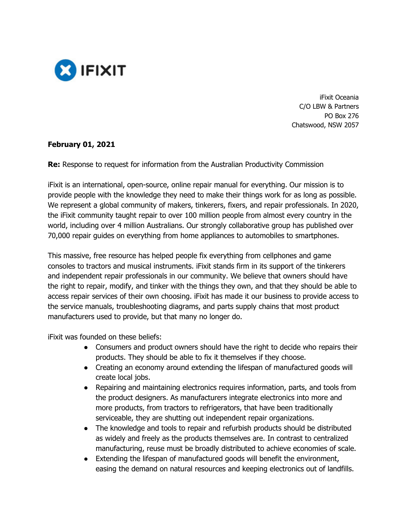

iFixit Oceania C/O LBW & Partners PO Box 276 Chatswood, NSW 2057

### **February 01, 2021**

**Re:** Response to request for information from the Australian Productivity Commission

iFixit is an international, open-source, online repair manual for everything. Our mission is to provide people with the knowledge they need to make their things work for as long as possible. We represent a global community of makers, tinkerers, fixers, and repair professionals. In 2020, the iFixit community taught repair to over 100 million people from almost every country in the world, including over 4 million Australians. Our strongly collaborative group has published over 70,000 repair guides on everything from home appliances to automobiles to smartphones.

This massive, free resource has helped people fix everything from cellphones and game consoles to tractors and musical instruments. iFixit stands firm in its support of the tinkerers and independent repair professionals in our community. We believe that owners should have the right to repair, modify, and tinker with the things they own, and that they should be able to access repair services of their own choosing. iFixit has made it our business to provide access to the service manuals, troubleshooting diagrams, and parts supply chains that most product manufacturers used to provide, but that many no longer do.

iFixit was founded on these beliefs:

- Consumers and product owners should have the right to decide who repairs their products. They should be able to fix it themselves if they choose.
- Creating an economy around extending the lifespan of manufactured goods will create local jobs.
- Repairing and maintaining electronics requires information, parts, and tools from the product designers. As manufacturers integrate electronics into more and more products, from tractors to refrigerators, that have been traditionally serviceable, they are shutting out independent repair organizations.
- The knowledge and tools to repair and refurbish products should be distributed as widely and freely as the products themselves are. In contrast to centralized manufacturing, reuse must be broadly distributed to achieve economies of scale.
- Extending the lifespan of manufactured goods will benefit the environment, easing the demand on natural resources and keeping electronics out of landfills.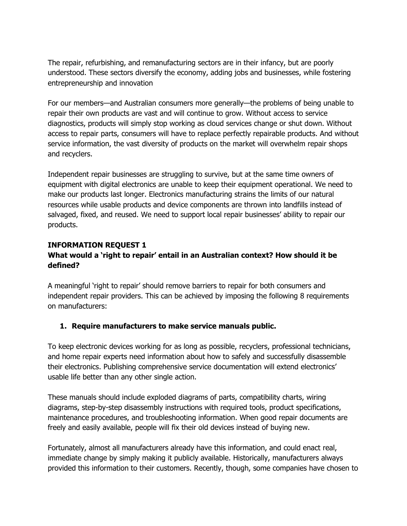The repair, refurbishing, and remanufacturing sectors are in their infancy, but are poorly understood. These sectors diversify the economy, adding jobs and businesses, while fostering entrepreneurship and innovation

For our members—and Australian consumers more generally—the problems of being unable to repair their own products are vast and will continue to grow. Without access to service diagnostics, products will simply stop working as cloud services change or shut down. Without access to repair parts, consumers will have to replace perfectly repairable products. And without service information, the vast diversity of products on the market will overwhelm repair shops and recyclers.

Independent repair businesses are struggling to survive, but at the same time owners of equipment with digital electronics are unable to keep their equipment operational. We need to make our products last longer. Electronics manufacturing strains the limits of our natural resources while usable products and device components are thrown into landfills instead of salvaged, fixed, and reused. We need to support local repair businesses' ability to repair our products.

### **INFORMATION REQUEST 1**

### **What would a 'right to repair' entail in an Australian context? How should it be defined?**

A meaningful 'right to repair' should remove barriers to repair for both consumers and independent repair providers. This can be achieved by imposing the following 8 requirements on manufacturers:

### **1. Require manufacturers to make service manuals public.**

To keep electronic devices working for as long as possible, recyclers, professional technicians, and home repair experts need information about how to safely and successfully disassemble their electronics. Publishing comprehensive service documentation will extend electronics' usable life better than any other single action.

These manuals should include exploded diagrams of parts, compatibility charts, wiring diagrams, step-by-step disassembly instructions with required tools, product specifications, maintenance procedures, and troubleshooting information. When good repair documents are freely and easily available, people will fix their old devices instead of buying new.

Fortunately, almost all manufacturers already have this information, and could enact real, immediate change by simply making it publicly available. Historically, manufacturers always provided this information to their customers. Recently, though, some companies have chosen to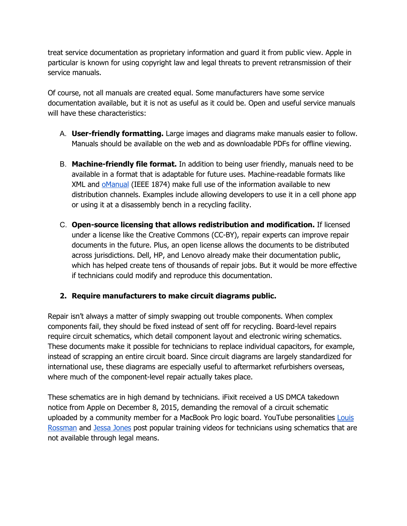treat service documentation as proprietary information and guard it from public view. Apple in particular is known for using copyright law and legal threats to prevent retransmission of their service manuals.

Of course, not all manuals are created equal. Some manufacturers have some service documentation available, but it is not as useful as it could be. Open and useful service manuals will have these characteristics:

- A. **User-friendly formatting.** Large images and diagrams make manuals easier to follow. Manuals should be available on the web and as downloadable PDFs for offline viewing.
- B. **Machine-friendly file format.** In addition to being user friendly, manuals need to be available in a format that is adaptable for future uses. Machine-readable formats like XML and oManual (IEEE 1874) make full use of the information available to new distribution channels. Examples include allowing developers to use it in a cell phone app or using it at a disassembly bench in a recycling facility.
- C. **Open-source licensing that allows redistribution and modification.** If licensed under a license like the Creative Commons (CC-BY), repair experts can improve repair documents in the future. Plus, an open license allows the documents to be distributed across jurisdictions. Dell, HP, and Lenovo already make their documentation public, which has helped create tens of thousands of repair jobs. But it would be more effective if technicians could modify and reproduce this documentation.

# **2. Require manufacturers to make circuit diagrams public.**

Repair isn't always a matter of simply swapping out trouble components. When complex components fail, they should be fixed instead of sent off for recycling. Board-level repairs require circuit schematics, which detail component layout and electronic wiring schematics. These documents make it possible for technicians to replace individual capacitors, for example, instead of scrapping an entire circuit board. Since circuit diagrams are largely standardized for international use, these diagrams are especially useful to aftermarket refurbishers overseas, where much of the component-level repair actually takes place.

These schematics are in high demand by technicians. iFixit received a US DMCA takedown notice from Apple on December 8, 2015, demanding the removal of a circuit schematic uploaded by a community member for a MacBook Pro logic board. YouTube personalities Louis Rossman and Jessa Jones post popular training videos for technicians using schematics that are not available through legal means.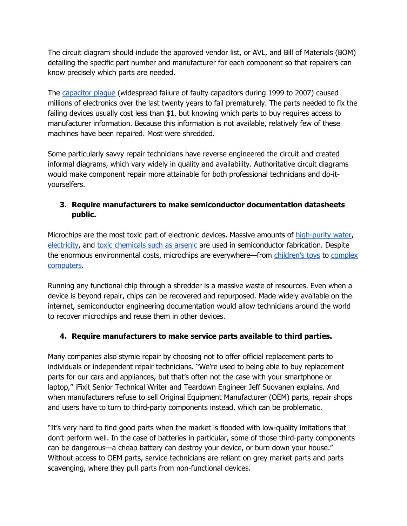The circuit diagram should include the approved vendor list, or AVL, and Bill of Materials (BOM) detailing the specific part number and manufacturer for each component so that repairers can know precisely which parts are needed.

The capacitor plague (widespread failure of faulty capacitors during 1999 to 2007) caused millions of electronics over the last twenty years to fail prematurely. The parts needed to fix the failing devices usually cost less than \$1, but knowing which parts to buy requires access to manufacturer information. Because this information is not available, relatively few of these machines have been repaired. Most were shredded.

Some particularly savvy repair technicians have reverse engineered the circuit and created informal diagrams, which vary widely in quality and availability. Authoritative circuit diagrams would make component repair more attainable for both professional technicians and do-ityourselfers.

# **3. Require manufacturers to make semiconductor documentation datasheets public.**

Microchips are the most toxic part of electronic devices. Massive amounts of high-purity water, electricity, and toxic chemicals such as arsenic are used in semiconductor fabrication. Despite the enormous environmental costs, microchips are everywhere—from children's toys to complex computers.

Running any functional chip through a shredder is a massive waste of resources. Even when a device is beyond repair, chips can be recovered and repurposed. Made widely available on the internet, semiconductor engineering documentation would allow technicians around the world to recover microchips and reuse them in other devices.

# **4. Require manufacturers to make service parts available to third parties.**

Many companies also stymie repair by choosing not to offer official replacement parts to individuals or independent repair technicians. "We're used to being able to buy replacement parts for our cars and appliances, but that's often not the case with your smartphone or laptop," iFixit Senior Technical Writer and Teardown Engineer Jeff Suovanen explains. And when manufacturers refuse to sell Original Equipment Manufacturer (OEM) parts, repair shops and users have to turn to third-party components instead, which can be problematic.

"It's very hard to find good parts when the market is flooded with low-quality imitations that don't perform well. In the case of batteries in particular, some of those third-party components can be dangerous—a cheap battery can destroy your device, or burn down your house." Without access to OEM parts, service technicians are reliant on grey market parts and parts scavenging, where they pull parts from non-functional devices.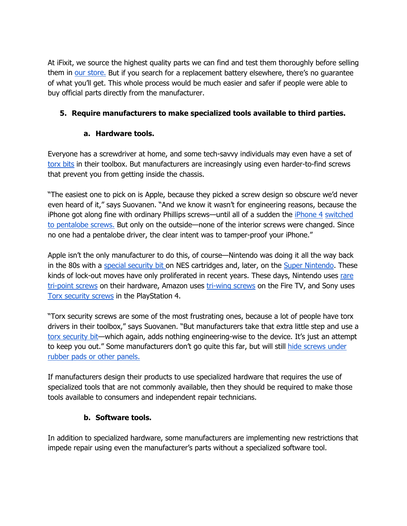At iFixit, we source the highest quality parts we can find and test them thoroughly before selling them in our store. But if you search for a replacement battery elsewhere, there's no guarantee of what you'll get. This whole process would be much easier and safer if people were able to buy official parts directly from the manufacturer.

# **5. Require manufacturers to make specialized tools available to third parties.**

# **a. Hardware tools.**

Everyone has a screwdriver at home, and some tech-savvy individuals may even have a set of torx bits in their toolbox. But manufacturers are increasingly using even harder-to-find screws that prevent you from getting inside the chassis.

"The easiest one to pick on is Apple, because they picked a screw design so obscure we'd never even heard of it," says Suovanen. "And we know it wasn't for engineering reasons, because the iPhone got along fine with ordinary Phillips screws—until all of a sudden the iPhone 4 switched to pentalobe screws. But only on the outside—none of the interior screws were changed. Since no one had a pentalobe driver, the clear intent was to tamper-proof your iPhone."

Apple isn't the only manufacturer to do this, of course—Nintendo was doing it all the way back in the 80s with a special security bit on NES cartridges and, later, on the Super Nintendo. These kinds of lock-out moves have only proliferated in recent years. These days, Nintendo uses rare tri-point screws on their hardware, Amazon uses tri-wing screws on the Fire TV, and Sony uses Torx security screws in the PlayStation 4.

"Torx security screws are some of the most frustrating ones, because a lot of people have torx drivers in their toolbox," says Suovanen. "But manufacturers take that extra little step and use a torx security bit—which again, adds nothing engineering-wise to the device. It's just an attempt to keep you out." Some manufacturers don't go quite this far, but will still hide screws under rubber pads or other panels.

If manufacturers design their products to use specialized hardware that requires the use of specialized tools that are not commonly available, then they should be required to make those tools available to consumers and independent repair technicians.

# **b. Software tools.**

In addition to specialized hardware, some manufacturers are implementing new restrictions that impede repair using even the manufacturer's parts without a specialized software tool.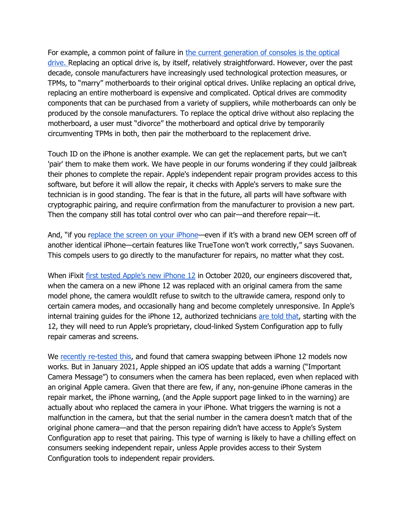For example, a common point of failure in the current generation of consoles is the optical drive. Replacing an optical drive is, by itself, relatively straightforward. However, over the past decade, console manufacturers have increasingly used technological protection measures, or TPMs, to "marry" motherboards to their original optical drives. Unlike replacing an optical drive, replacing an entire motherboard is expensive and complicated. Optical drives are commodity components that can be purchased from a variety of suppliers, while motherboards can only be produced by the console manufacturers. To replace the optical drive without also replacing the motherboard, a user must "divorce" the motherboard and optical drive by temporarily circumventing TPMs in both, then pair the motherboard to the replacement drive.

Touch ID on the iPhone is another example. We can get the replacement parts, but we can't 'pair' them to make them work. We have people in our forums wondering if they could jailbreak their phones to complete the repair. Apple's independent repair program provides access to this software, but before it will allow the repair, it checks with Apple's servers to make sure the technician is in good standing. The fear is that in the future, all parts will have software with cryptographic pairing, and require confirmation from the manufacturer to provision a new part. Then the company still has total control over who can pair—and therefore repair—it.

And, "if you replace the screen on your iPhone—even if it's with a brand new OEM screen off of another identical iPhone—certain features like TrueTone won't work correctly," says Suovanen. This compels users to go directly to the manufacturer for repairs, no matter what they cost.

When iFixit first tested Apple's new iPhone 12 in October 2020, our engineers discovered that, when the camera on a new iPhone 12 was replaced with an original camera from the same model phone, the camera wouldIt refuse to switch to the ultrawide camera, respond only to certain camera modes, and occasionally hang and become completely unresponsive. In Apple's internal training guides for the iPhone 12, authorized technicians are told that, starting with the 12, they will need to run Apple's proprietary, cloud-linked System Configuration app to fully repair cameras and screens.

We recently re-tested this, and found that camera swapping between iPhone 12 models now works. But in January 2021, Apple shipped an iOS update that adds a warning ("Important Camera Message") to consumers when the camera has been replaced, even when replaced with an original Apple camera. Given that there are few, if any, non-genuine iPhone cameras in the repair market, the iPhone warning, (and the Apple support page linked to in the warning) are actually about who replaced the camera in your iPhone. What triggers the warning is not a malfunction in the camera, but that the serial number in the camera doesn't match that of the original phone camera—and that the person repairing didn't have access to Apple's System Configuration app to reset that pairing. This type of warning is likely to have a chilling effect on consumers seeking independent repair, unless Apple provides access to their System Configuration tools to independent repair providers.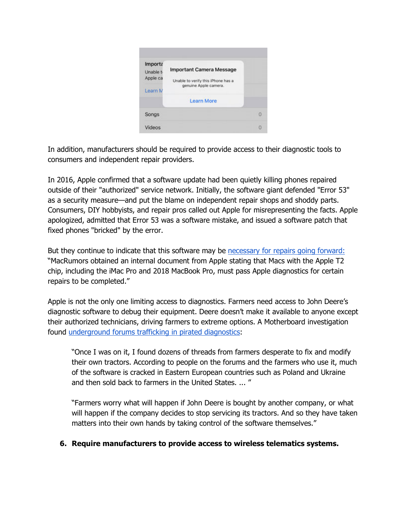

In addition, manufacturers should be required to provide access to their diagnostic tools to consumers and independent repair providers.

In 2016, Apple confirmed that a software update had been quietly killing phones repaired outside of their "authorized" service network. Initially, the software giant defended "Error 53" as a security measure—and put the blame on independent repair shops and shoddy parts. Consumers, DIY hobbyists, and repair pros called out Apple for misrepresenting the facts. Apple apologized, admitted that Error 53 was a software mistake, and issued a software patch that fixed phones "bricked" by the error.

But they continue to indicate that this software may be necessary for repairs going forward: "MacRumors obtained an internal document from Apple stating that Macs with the Apple T2 chip, including the iMac Pro and 2018 MacBook Pro, must pass Apple diagnostics for certain repairs to be completed."

Apple is not the only one limiting access to diagnostics. Farmers need access to John Deere's diagnostic software to debug their equipment. Deere doesn't make it available to anyone except their authorized technicians, driving farmers to extreme options. A Motherboard investigation found underground forums trafficking in pirated diagnostics:

"Once I was on it, I found dozens of threads from farmers desperate to fix and modify their own tractors. According to people on the forums and the farmers who use it, much of the software is cracked in Eastern European countries such as Poland and Ukraine and then sold back to farmers in the United States. ... "

"Farmers worry what will happen if John Deere is bought by another company, or what will happen if the company decides to stop servicing its tractors. And so they have taken matters into their own hands by taking control of the software themselves."

### **6. Require manufacturers to provide access to wireless telematics systems.**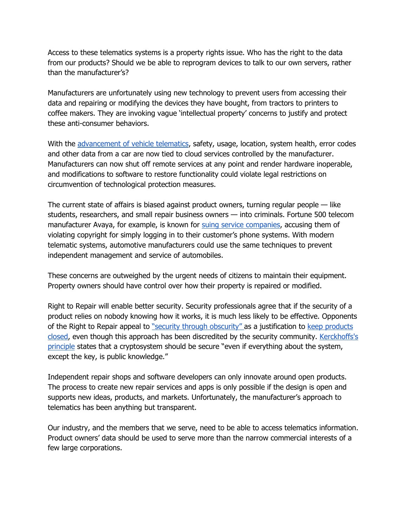Access to these telematics systems is a property rights issue. Who has the right to the data from our products? Should we be able to reprogram devices to talk to our own servers, rather than the manufacturer's?

Manufacturers are unfortunately using new technology to prevent users from accessing their data and repairing or modifying the devices they have bought, from tractors to printers to coffee makers. They are invoking vague 'intellectual property' concerns to justify and protect these anti-consumer behaviors.

With the advancement of vehicle telematics, safety, usage, location, system health, error codes and other data from a car are now tied to cloud services controlled by the manufacturer. Manufacturers can now shut off remote services at any point and render hardware inoperable, and modifications to software to restore functionality could violate legal restrictions on circumvention of technological protection measures.

The current state of affairs is biased against product owners, turning regular people — like students, researchers, and small repair business owners — into criminals. Fortune 500 telecom manufacturer Avaya, for example, is known for suing service companies, accusing them of violating copyright for simply logging in to their customer's phone systems. With modern telematic systems, automotive manufacturers could use the same techniques to prevent independent management and service of automobiles.

These concerns are outweighed by the urgent needs of citizens to maintain their equipment. Property owners should have control over how their property is repaired or modified.

Right to Repair will enable better security. Security professionals agree that if the security of a product relies on nobody knowing how it works, it is much less likely to be effective. Opponents of the Right to Repair appeal to "security through obscurity" as a justification to keep products closed, even though this approach has been discredited by the security community. Kerckhoffs's principle states that a cryptosystem should be secure "even if everything about the system, except the key, is public knowledge."

Independent repair shops and software developers can only innovate around open products. The process to create new repair services and apps is only possible if the design is open and supports new ideas, products, and markets. Unfortunately, the manufacturer's approach to telematics has been anything but transparent.

Our industry, and the members that we serve, need to be able to access telematics information. Product owners' data should be used to serve more than the narrow commercial interests of a few large corporations.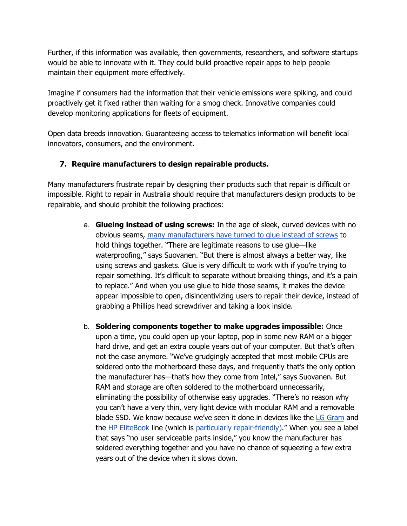Further, if this information was available, then governments, researchers, and software startups would be able to innovate with it. They could build proactive repair apps to help people maintain their equipment more effectively.

Imagine if consumers had the information that their vehicle emissions were spiking, and could proactively get it fixed rather than waiting for a smog check. Innovative companies could develop monitoring applications for fleets of equipment.

Open data breeds innovation. Guaranteeing access to telematics information will benefit local innovators, consumers, and the environment.

# **7. Require manufacturers to design repairable products.**

Many manufacturers frustrate repair by designing their products such that repair is difficult or impossible. Right to repair in Australia should require that manufacturers design products to be repairable, and should prohibit the following practices:

- a. **Glueing instead of using screws:** In the age of sleek, curved devices with no obvious seams, many manufacturers have turned to glue instead of screws to hold things together. "There are legitimate reasons to use glue—like waterproofing," says Suovanen. "But there is almost always a better way, like using screws and gaskets. Glue is very difficult to work with if you're trying to repair something. It's difficult to separate without breaking things, and it's a pain to replace." And when you use glue to hide those seams, it makes the device appear impossible to open, disincentivizing users to repair their device, instead of grabbing a Phillips head screwdriver and taking a look inside.
- b. **Soldering components together to make upgrades impossible:** Once upon a time, you could open up your laptop, pop in some new RAM or a bigger hard drive, and get an extra couple years out of your computer. But that's often not the case anymore. "We've grudgingly accepted that most mobile CPUs are soldered onto the motherboard these days, and frequently that's the only option the manufacturer has—that's how they come from Intel," says Suovanen. But RAM and storage are often soldered to the motherboard unnecessarily, eliminating the possibility of otherwise easy upgrades. "There's no reason why you can't have a very thin, very light device with modular RAM and a removable blade SSD. We know because we've seen it done in devices like the LG Gram and the HP EliteBook line (which is particularly repair-friendly)." When you see a label that says "no user serviceable parts inside," you know the manufacturer has soldered everything together and you have no chance of squeezing a few extra years out of the device when it slows down.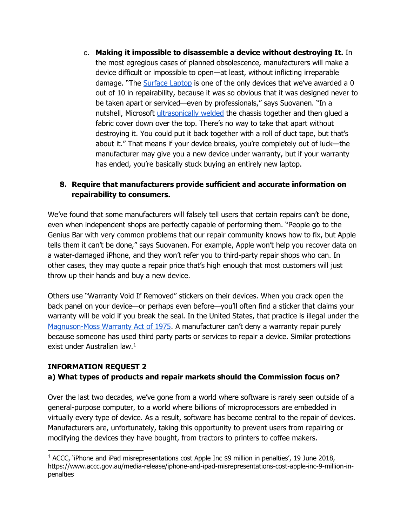c. **Making it impossible to disassemble a device without destroying It.** In the most egregious cases of planned obsolescence, manufacturers will make a device difficult or impossible to open—at least, without inflicting irreparable damage. "The Surface Laptop is one of the only devices that we've awarded a 0 out of 10 in repairability, because it was so obvious that it was designed never to be taken apart or serviced—even by professionals," says Suovanen. "In a nutshell, Microsoft ultrasonically welded the chassis together and then glued a fabric cover down over the top. There's no way to take that apart without destroying it. You could put it back together with a roll of duct tape, but that's about it." That means if your device breaks, you're completely out of luck—the manufacturer may give you a new device under warranty, but if your warranty has ended, you're basically stuck buying an entirely new laptop.

# **8. Require that manufacturers provide sufficient and accurate information on repairability to consumers.**

We've found that some manufacturers will falsely tell users that certain repairs can't be done, even when independent shops are perfectly capable of performing them. "People go to the Genius Bar with very common problems that our repair community knows how to fix, but Apple tells them it can't be done," says Suovanen. For example, Apple won't help you recover data on a water-damaged iPhone, and they won't refer you to third-party repair shops who can. In other cases, they may quote a repair price that's high enough that most customers will just throw up their hands and buy a new device.

Others use "Warranty Void If Removed" stickers on their devices. When you crack open the back panel on your device—or perhaps even before—you'll often find a sticker that claims your warranty will be void if you break the seal. In the United States, that practice is illegal under the Magnuson-Moss Warranty Act of 1975. A manufacturer can't deny a warranty repair purely because someone has used third party parts or services to repair a device. Similar protections exist under Australian law.<sup>[1](#page-9-0)</sup>

### **INFORMATION REQUEST 2**

# **a) What types of products and repair markets should the Commission focus on?**

Over the last two decades, we've gone from a world where software is rarely seen outside of a general-purpose computer, to a world where billions of microprocessors are embedded in virtually every type of device. As a result, software has become central to the repair of devices. Manufacturers are, unfortunately, taking this opportunity to prevent users from repairing or modifying the devices they have bought, from tractors to printers to coffee makers.

<span id="page-9-0"></span><sup>1</sup> ACCC, 'iPhone and iPad misrepresentations cost Apple Inc \$9 million in penalties', 19 June 2018, https://www.accc.gov.au/media-release/iphone-and-ipad-misrepresentations-cost-apple-inc-9-million-inpenalties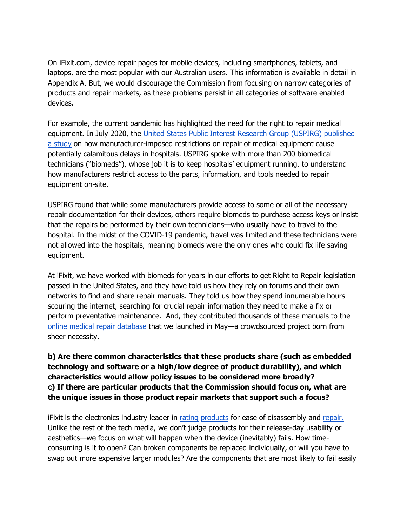On iFixit.com, device repair pages for mobile devices, including smartphones, tablets, and laptops, are the most popular with our Australian users. This information is available in detail in Appendix A. But, we would discourage the Commission from focusing on narrow categories of products and repair markets, as these problems persist in all categories of software enabled devices.

For example, the current pandemic has highlighted the need for the right to repair medical equipment. In July 2020, the United States Public Interest Research Group (USPIRG) published a study on how manufacturer-imposed restrictions on repair of medical equipment cause potentially calamitous delays in hospitals. USPIRG spoke with more than 200 biomedical technicians ("biomeds"), whose job it is to keep hospitals' equipment running, to understand how manufacturers restrict access to the parts, information, and tools needed to repair equipment on-site.

USPIRG found that while some manufacturers provide access to some or all of the necessary repair documentation for their devices, others require biomeds to purchase access keys or insist that the repairs be performed by their own technicians—who usually have to travel to the hospital. In the midst of the COVID-19 pandemic, travel was limited and these technicians were not allowed into the hospitals, meaning biomeds were the only ones who could fix life saving equipment.

At iFixit, we have worked with biomeds for years in our efforts to get Right to Repair legislation passed in the United States, and they have told us how they rely on forums and their own networks to find and share repair manuals. They told us how they spend innumerable hours scouring the internet, searching for crucial repair information they need to make a fix or perform preventative maintenance. And, they contributed thousands of these manuals to the online medical repair database that we launched in May—a crowdsourced project born from sheer necessity.

**b) Are there common characteristics that these products share (such as embedded technology and software or a high/low degree of product durability), and which characteristics would allow policy issues to be considered more broadly? c) If there are particular products that the Commission should focus on, what are the unique issues in those product repair markets that support such a focus?**

iFixit is the electronics industry leader in rating products for ease of disassembly and repair. Unlike the rest of the tech media, we don't judge products for their release-day usability or aesthetics—we focus on what will happen when the device (inevitably) fails. How timeconsuming is it to open? Can broken components be replaced individually, or will you have to swap out more expensive larger modules? Are the components that are most likely to fail easily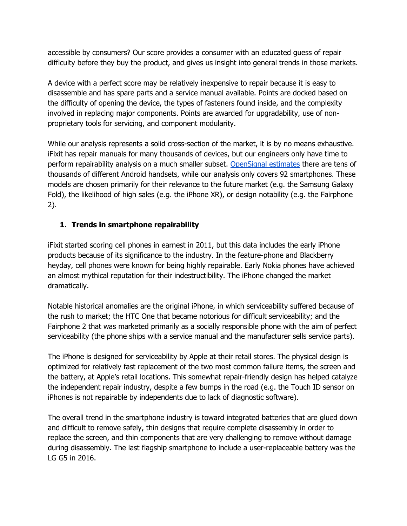accessible by consumers? Our score provides a consumer with an educated guess of repair difficulty before they buy the product, and gives us insight into general trends in those markets.

A device with a perfect score may be relatively inexpensive to repair because it is easy to disassemble and has spare parts and a service manual available. Points are docked based on the difficulty of opening the device, the types of fasteners found inside, and the complexity involved in replacing major components. Points are awarded for upgradability, use of nonproprietary tools for servicing, and component modularity.

While our analysis represents a solid cross-section of the market, it is by no means exhaustive. iFixit has repair manuals for many thousands of devices, but our engineers only have time to perform repairability analysis on a much smaller subset. OpenSignal estimates there are tens of thousands of different Android handsets, while our analysis only covers 92 smartphones. These models are chosen primarily for their relevance to the future market (e.g. the Samsung Galaxy Fold), the likelihood of high sales (e.g. the iPhone XR), or design notability (e.g. the Fairphone 2).

### **1. Trends in smartphone repairability**

iFixit started scoring cell phones in earnest in 2011, but this data includes the early iPhone products because of its significance to the industry. In the feature-phone and Blackberry heyday, cell phones were known for being highly repairable. Early Nokia phones have achieved an almost mythical reputation for their indestructibility. The iPhone changed the market dramatically.

Notable historical anomalies are the original iPhone, in which serviceability suffered because of the rush to market; the HTC One that became notorious for difficult serviceability; and the Fairphone 2 that was marketed primarily as a socially responsible phone with the aim of perfect serviceability (the phone ships with a service manual and the manufacturer sells service parts).

The iPhone is designed for serviceability by Apple at their retail stores. The physical design is optimized for relatively fast replacement of the two most common failure items, the screen and the battery, at Apple's retail locations. This somewhat repair-friendly design has helped catalyze the independent repair industry, despite a few bumps in the road (e.g. the Touch ID sensor on iPhones is not repairable by independents due to lack of diagnostic software).

The overall trend in the smartphone industry is toward integrated batteries that are glued down and difficult to remove safely, thin designs that require complete disassembly in order to replace the screen, and thin components that are very challenging to remove without damage during disassembly. The last flagship smartphone to include a user-replaceable battery was the LG G5 in 2016.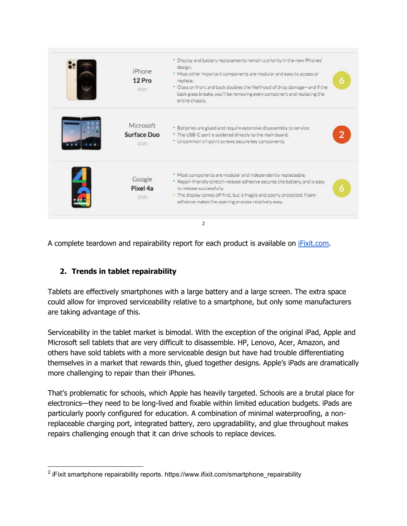| iPhone<br>12 Pro<br>2020         | * Display and battery replacements remain a priority in the new iPhones'<br>design.<br>+ Most other important components are modular and easy to access or<br>replace.<br>- Glass on front and back doubles the likelihood of drop damage-and if the<br>back glass breaks, you'll be removing every component and replacing the<br>entire chassis. | 6              |
|----------------------------------|----------------------------------------------------------------------------------------------------------------------------------------------------------------------------------------------------------------------------------------------------------------------------------------------------------------------------------------------------|----------------|
| Microsoft<br>Surface Duo<br>2020 | - Batteries are glued and require extensive disassembly to service.<br>- The USB-C port is soldered directly to the main board.<br>- Uncommon tri-point screws secure key components.                                                                                                                                                              | $\overline{2}$ |
| Google<br>Pixel 4a<br>2020       | Most components are modular and independently replaceable.<br>Repair-friendly stretch-release adhesive secures the battery, and is easy<br>to release successfully.<br>. The display comes off first, but is fragile and poorly protected. Foam<br>adhesive makes the opening process relatively easy.                                             | 6              |

A complete teardown and repairability report for each product is available on iFixit.com.

# **2. Trends in tablet repairability**

Tablets are effectively smartphones with a large battery and a large screen. The extra space could allow for improved serviceability relative to a smartphone, but only some manufacturers are taking advantage of this.

Serviceability in the tablet market is bimodal. With the exception of the original iPad, Apple and Microsoft sell tablets that are very difficult to disassemble. HP, Lenovo, Acer, Amazon, and others have sold tablets with a more serviceable design but have had trouble differentiating themselves in a market that rewards thin, glued together designs. Apple's iPads are dramatically more challenging to repair than their iPhones.

That's problematic for schools, which Apple has heavily targeted. Schools are a brutal place for electronics—they need to be long-lived and fixable within limited education budgets. iPads are particularly poorly configured for education. A combination of minimal waterproofing, a nonreplaceable charging port, integrated battery, zero upgradability, and glue throughout makes repairs challenging enough that it can drive schools to replace devices.

<span id="page-12-0"></span><sup>&</sup>lt;sup>2</sup> iFixit smartphone repairability reports. https://www.ifixit.com/smartphone\_repairability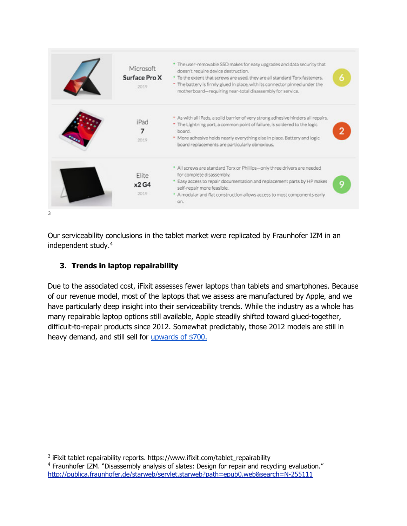| Microsoft<br>Surface Pro X<br>2019 | The user-removable SSD makes for easy upgrades and data security that<br>doesn't require device destruction.<br>To the extent that screws are used, they are all standard Torx fasteners.<br>- The battery is firmly glued in place, with its connector pinned under the<br>motherboard-requiring near-total disassembly for service. | б |
|------------------------------------|---------------------------------------------------------------------------------------------------------------------------------------------------------------------------------------------------------------------------------------------------------------------------------------------------------------------------------------|---|
| iPad<br>7<br>2019                  | - As with all IPads, a solid barrier of very strong adhesive hinders all repairs.<br>* The Lightning port, a common point of failure, is soldered to the logic<br>board.<br>* More adhesive holds nearly everything else in place. Battery and logic<br>board replacements are particularly obnoxious.                                |   |
| Elite<br>x2G4<br>2019              | * All screws are standard Torx or Phillips-only three drivers are needed<br>for complete disassembly.<br>Easy access to repair documentation and replacement parts by HP makes<br>self-repair more feasible.<br>* A modular and flat construction allows access to most components early<br>on.                                       | 9 |

Our serviceability conclusions in the tablet market were replicated by Fraunhofer IZM in an independent study.<sup>[4](#page-13-1)</sup>

# **3. Trends in laptop repairability**

Due to the associated cost, iFixit assesses fewer laptops than tablets and smartphones. Because of our revenue model, most of the laptops that we assess are manufactured by Apple, and we have particularly deep insight into their serviceability trends. While the industry as a whole has many repairable laptop options still available, Apple steadily shifted toward glued-together, difficult-to-repair products since 2012. Somewhat predictably, those 2012 models are still in heavy demand, and still sell for upwards of \$700.

<span id="page-13-0"></span><sup>&</sup>lt;sup>3</sup> iFixit tablet repairability reports. https://www.ifixit.com/tablet\_repairability

<span id="page-13-1"></span><sup>4</sup> Fraunhofer IZM. "Disassembly analysis of slates: Design for repair and recycling evaluation." http://publica.fraunhofer.de/starweb/servlet.starweb?path=epub0.web&search=N-255111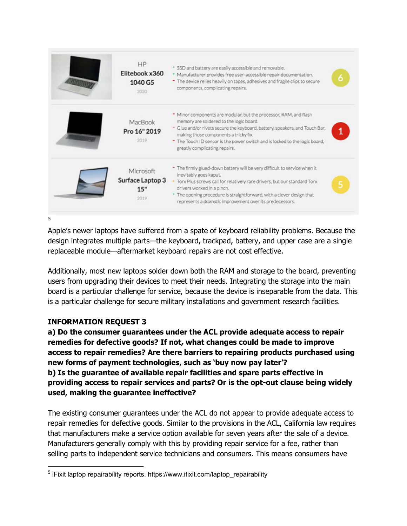| <b>HP</b><br>Elitebook x360<br>1040 G5<br>2020 | SSD and battery are easily accessible and removable.<br>* Manufacturer provides free user-accessible repair documentation.<br>" The device relies heavily on tapes, adhesives and fragile clips to secure<br>components, complicating repairs.                                                                                                       | 6 |
|------------------------------------------------|------------------------------------------------------------------------------------------------------------------------------------------------------------------------------------------------------------------------------------------------------------------------------------------------------------------------------------------------------|---|
| MacBook<br>Pro 16" 2019<br>2019                | " Minor components are modular, but the processor, RAM, and flash<br>memory are soldered to the logic board.<br>- Glue and/or rivets secure the keyboard, battery, speakers, and Touch Bar,<br>making those components a tricky fix.<br>" The Touch ID sensor is the power switch and is locked to the logic board,<br>greatly complicating repairs. |   |
| Microsoft<br>Surface Laptop 3<br>15"<br>2019   | - The firmly glued-down battery will be very difficult to service when it<br>inevitably goes kaput.<br>Torx Plus screws call for relatively rare drivers, but our standard Torx<br>drivers worked in a pinch.<br>* The opening procedure is straightforward, with a clever design that<br>represents a dramatic improvement over its predecessors.   | 5 |

Apple's newer laptops have suffered from a spate of keyboard reliability problems. Because the design integrates multiple parts—the keyboard, trackpad, battery, and upper case are a single replaceable module—aftermarket keyboard repairs are not cost effective.

Additionally, most new laptops solder down both the RAM and storage to the board, preventing users from upgrading their devices to meet their needs. Integrating the storage into the main board is a particular challenge for service, because the device is inseparable from the data. This is a particular challenge for secure military installations and government research facilities.

# **INFORMATION REQUEST 3**

**a) Do the consumer guarantees under the ACL provide adequate access to repair remedies for defective goods? If not, what changes could be made to improve access to repair remedies? Are there barriers to repairing products purchased using new forms of payment technologies, such as 'buy now pay later'? b) Is the guarantee of available repair facilities and spare parts effective in providing access to repair services and parts? Or is the opt-out clause being widely used, making the guarantee ineffective?**

The existing consumer guarantees under the ACL do not appear to provide adequate access to repair remedies for defective goods. Similar to the provisions in the ACL, California law requires that manufacturers make a service option available for seven years after the sale of a device. Manufacturers generally comply with this by providing repair service for a fee, rather than selling parts to independent service technicians and consumers. This means consumers have

<span id="page-14-0"></span><sup>&</sup>lt;sup>5</sup> iFixit laptop repairability reports. https://www.ifixit.com/laptop\_repairability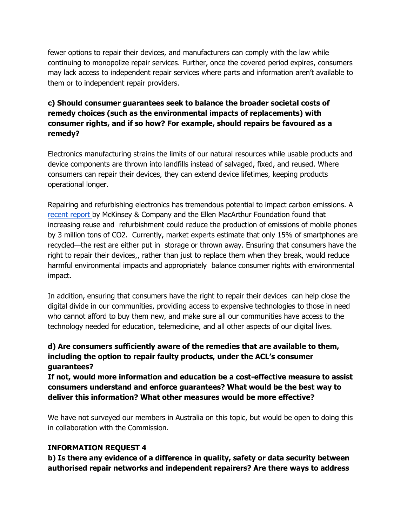fewer options to repair their devices, and manufacturers can comply with the law while continuing to monopolize repair services. Further, once the covered period expires, consumers may lack access to independent repair services where parts and information aren't available to them or to independent repair providers.

# **c) Should consumer guarantees seek to balance the broader societal costs of remedy choices (such as the environmental impacts of replacements) with consumer rights, and if so how? For example, should repairs be favoured as a remedy?**

Electronics manufacturing strains the limits of our natural resources while usable products and device components are thrown into landfills instead of salvaged, fixed, and reused. Where consumers can repair their devices, they can extend device lifetimes, keeping products operational longer.

Repairing and refurbishing electronics has tremendous potential to impact carbon emissions. A recent report by McKinsey & Company and the Ellen MacArthur Foundation found that increasing reuse and refurbishment could reduce the production of emissions of mobile phones by 3 million tons of CO2. Currently, market experts estimate that only 15% of smartphones are recycled—the rest are either put in storage or thrown away. Ensuring that consumers have the right to repair their devices,, rather than just to replace them when they break, would reduce harmful environmental impacts and appropriately balance consumer rights with environmental impact.

In addition, ensuring that consumers have the right to repair their devices can help close the digital divide in our communities, providing access to expensive technologies to those in need who cannot afford to buy them new, and make sure all our communities have access to the technology needed for education, telemedicine, and all other aspects of our digital lives.

# **d) Are consumers sufficiently aware of the remedies that are available to them, including the option to repair faulty products, under the ACL's consumer guarantees?**

**If not, would more information and education be a cost-effective measure to assist consumers understand and enforce guarantees? What would be the best way to deliver this information? What other measures would be more effective?**

We have not surveyed our members in Australia on this topic, but would be open to doing this in collaboration with the Commission.

# **INFORMATION REQUEST 4**

**b) Is there any evidence of a difference in quality, safety or data security between authorised repair networks and independent repairers? Are there ways to address**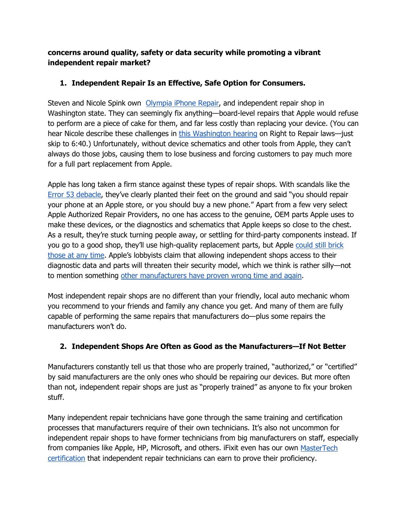**concerns around quality, safety or data security while promoting a vibrant independent repair market?**

# **1. Independent Repair Is an Effective, Safe Option for Consumers.**

Steven and Nicole Spink own Olympia iPhone Repair, and independent repair shop in Washington state. They can seemingly fix anything—board-level repairs that Apple would refuse to perform are a piece of cake for them, and far less costly than replacing your device. (You can hear Nicole describe these challenges in this Washington hearing on Right to Repair laws—just skip to 6:40.) Unfortunately, without device schematics and other tools from Apple, they can't always do those jobs, causing them to lose business and forcing customers to pay much more for a full part replacement from Apple.

Apple has long taken a firm stance against these types of repair shops. With scandals like the Error 53 debacle, they've clearly planted their feet on the ground and said "you should repair your phone at an Apple store, or you should buy a new phone." Apart from a few very select Apple Authorized Repair Providers, no one has access to the genuine, OEM parts Apple uses to make these devices, or the diagnostics and schematics that Apple keeps so close to the chest. As a result, they're stuck turning people away, or settling for third-party components instead. If you go to a good shop, they'll use high-quality replacement parts, but Apple could still brick those at any time. Apple's lobbyists claim that allowing independent shops access to their diagnostic data and parts will threaten their security model, which we think is rather silly—not to mention something other manufacturers have proven wrong time and again.

Most independent repair shops are no different than your friendly, local auto mechanic whom you recommend to your friends and family any chance you get. And many of them are fully capable of performing the same repairs that manufacturers do—plus some repairs the manufacturers won't do.

# **2. Independent Shops Are Often as Good as the Manufacturers—If Not Better**

Manufacturers constantly tell us that those who are properly trained, "authorized," or "certified" by said manufacturers are the only ones who should be repairing our devices. But more often than not, independent repair shops are just as "properly trained" as anyone to fix your broken stuff.

Many independent repair technicians have gone through the same training and certification processes that manufacturers require of their own technicians. It's also not uncommon for independent repair shops to have former technicians from big manufacturers on staff, especially from companies like Apple, HP, Microsoft, and others. iFixit even has our own MasterTech certification that independent repair technicians can earn to prove their proficiency.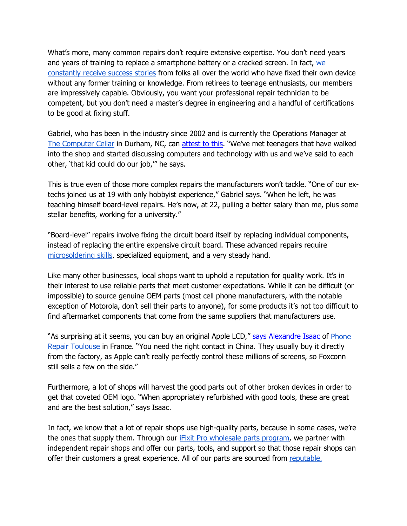What's more, many common repairs don't require extensive expertise. You don't need years and years of training to replace a smartphone battery or a cracked screen. In fact, we constantly receive success stories from folks all over the world who have fixed their own device without any former training or knowledge. From retirees to teenage enthusiasts, our members are impressively capable. Obviously, you want your professional repair technician to be competent, but you don't need a master's degree in engineering and a handful of certifications to be good at fixing stuff.

Gabriel, who has been in the industry since 2002 and is currently the Operations Manager at The Computer Cellar in Durham, NC, can attest to this. "We've met teenagers that have walked into the shop and started discussing computers and technology with us and we've said to each other, 'that kid could do our job,'" he says.

This is true even of those more complex repairs the manufacturers won't tackle. "One of our extechs joined us at 19 with only hobbyist experience," Gabriel says. "When he left, he was teaching himself board-level repairs. He's now, at 22, pulling a better salary than me, plus some stellar benefits, working for a university."

"Board-level" repairs involve fixing the circuit board itself by replacing individual components, instead of replacing the entire expensive circuit board. These advanced repairs require microsoldering skills, specialized equipment, and a very steady hand.

Like many other businesses, local shops want to uphold a reputation for quality work. It's in their interest to use reliable parts that meet customer expectations. While it can be difficult (or impossible) to source genuine OEM parts (most cell phone manufacturers, with the notable exception of Motorola, don't sell their parts to anyone), for some products it's not too difficult to find aftermarket components that come from the same suppliers that manufacturers use.

"As surprising at it seems, you can buy an original Apple LCD," says Alexandre Isaac of Phone Repair Toulouse in France. "You need the right contact in China. They usually buy it directly from the factory, as Apple can't really perfectly control these millions of screens, so Foxconn still sells a few on the side."

Furthermore, a lot of shops will harvest the good parts out of other broken devices in order to get that coveted OEM logo. "When appropriately refurbished with good tools, these are great and are the best solution," says Isaac.

In fact, we know that a lot of repair shops use high-quality parts, because in some cases, we're the ones that supply them. Through our *iFixit Pro wholesale parts program*, we partner with independent repair shops and offer our parts, tools, and support so that those repair shops can offer their customers a great experience. All of our parts are sourced from reputable,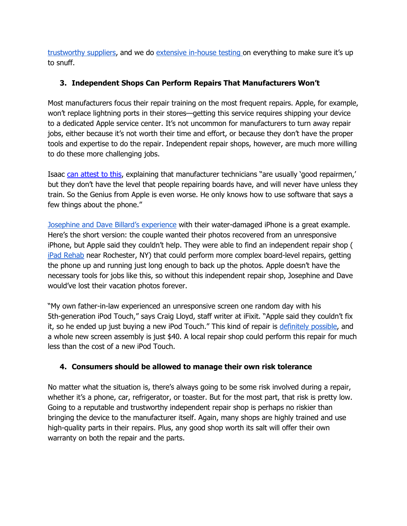trustworthy suppliers, and we do extensive in-house testing on everything to make sure it's up to snuff.

# **3. Independent Shops Can Perform Repairs That Manufacturers Won't**

Most manufacturers focus their repair training on the most frequent repairs. Apple, for example, won't replace lightning ports in their stores—getting this service requires shipping your device to a dedicated Apple service center. It's not uncommon for manufacturers to turn away repair jobs, either because it's not worth their time and effort, or because they don't have the proper tools and expertise to do the repair. Independent repair shops, however, are much more willing to do these more challenging jobs.

Isaac can attest to this, explaining that manufacturer technicians "are usually 'good repairmen,' but they don't have the level that people repairing boards have, and will never have unless they train. So the Genius from Apple is even worse. He only knows how to use software that says a few things about the phone."

Josephine and Dave Billard's experience with their water-damaged iPhone is a great example. Here's the short version: the couple wanted their photos recovered from an unresponsive iPhone, but Apple said they couldn't help. They were able to find an independent repair shop ( iPad Rehab near Rochester, NY) that could perform more complex board-level repairs, getting the phone up and running just long enough to back up the photos. Apple doesn't have the necessary tools for jobs like this, so without this independent repair shop, Josephine and Dave would've lost their vacation photos forever.

"My own father-in-law experienced an unresponsive screen one random day with his 5th-generation iPod Touch," says Craig Lloyd, staff writer at iFixit. "Apple said they couldn't fix it, so he ended up just buying a new iPod Touch." This kind of repair is definitely possible, and a whole new screen assembly is just \$40. A local repair shop could perform this repair for much less than the cost of a new iPod Touch.

# **4. Consumers should be allowed to manage their own risk tolerance**

No matter what the situation is, there's always going to be some risk involved during a repair, whether it's a phone, car, refrigerator, or toaster. But for the most part, that risk is pretty low. Going to a reputable and trustworthy independent repair shop is perhaps no riskier than bringing the device to the manufacturer itself. Again, many shops are highly trained and use high-quality parts in their repairs. Plus, any good shop worth its salt will offer their own warranty on both the repair and the parts.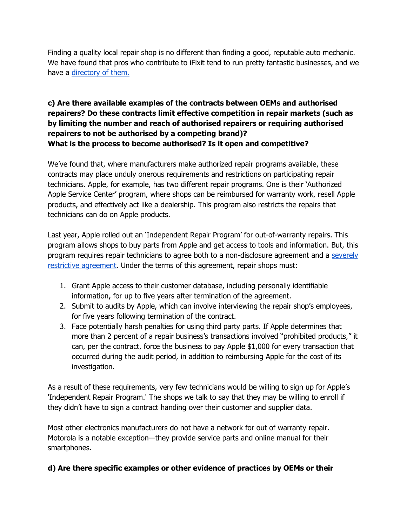Finding a quality local repair shop is no different than finding a good, reputable auto mechanic. We have found that pros who contribute to iFixit tend to run pretty fantastic businesses, and we have a directory of them.

# **c) Are there available examples of the contracts between OEMs and authorised repairers? Do these contracts limit effective competition in repair markets (such as by limiting the number and reach of authorised repairers or requiring authorised repairers to not be authorised by a competing brand)? What is the process to become authorised? Is it open and competitive?**

We've found that, where manufacturers make authorized repair programs available, these contracts may place unduly onerous requirements and restrictions on participating repair technicians. Apple, for example, has two different repair programs. One is their 'Authorized Apple Service Center' program, where shops can be reimbursed for warranty work, resell Apple products, and effectively act like a dealership. This program also restricts the repairs that technicians can do on Apple products.

Last year, Apple rolled out an 'Independent Repair Program' for out-of-warranty repairs. This program allows shops to buy parts from Apple and get access to tools and information. But, this program requires repair technicians to agree both to a non-disclosure agreement and a severely restrictive agreement. Under the terms of this agreement, repair shops must:

- 1. Grant Apple access to their customer database, including personally identifiable information, for up to five years after termination of the agreement.
- 2. Submit to audits by Apple, which can involve interviewing the repair shop's employees, for five years following termination of the contract.
- 3. Face potentially harsh penalties for using third party parts. If Apple determines that more than 2 percent of a repair business's transactions involved "prohibited products," it can, per the contract, force the business to pay Apple \$1,000 for every transaction that occurred during the audit period, in addition to reimbursing Apple for the cost of its investigation.

As a result of these requirements, very few technicians would be willing to sign up for Apple's 'Independent Repair Program.' The shops we talk to say that they may be willing to enroll if they didn't have to sign a contract handing over their customer and supplier data.

Most other electronics manufacturers do not have a network for out of warranty repair. Motorola is a notable exception—they provide service parts and online manual for their smartphones.

# **d) Are there specific examples or other evidence of practices by OEMs or their**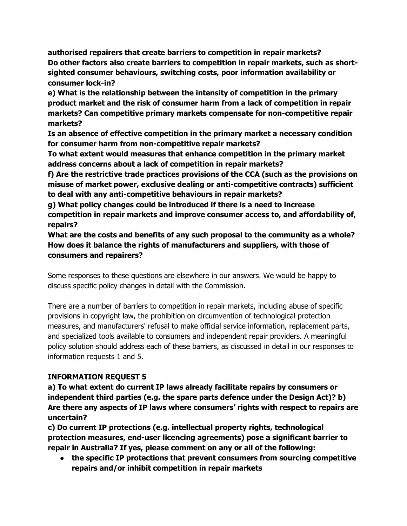**authorised repairers that create barriers to competition in repair markets? Do other factors also create barriers to competition in repair markets, such as shortsighted consumer behaviours, switching costs, poor information availability or consumer lock-in?**

**e) What is the relationship between the intensity of competition in the primary product market and the risk of consumer harm from a lack of competition in repair markets? Can competitive primary markets compensate for non-competitive repair markets?**

**Is an absence of effective competition in the primary market a necessary condition for consumer harm from non-competitive repair markets?**

**To what extent would measures that enhance competition in the primary market address concerns about a lack of competition in repair markets?**

**f) Are the restrictive trade practices provisions of the CCA (such as the provisions on misuse of market power, exclusive dealing or anti-competitive contracts) sufficient to deal with any anti-competitive behaviours in repair markets?**

**g) What policy changes could be introduced if there is a need to increase competition in repair markets and improve consumer access to, and affordability of, repairs?**

**What are the costs and benefits of any such proposal to the community as a whole? How does it balance the rights of manufacturers and suppliers, with those of consumers and repairers?**

Some responses to these questions are elsewhere in our answers. We would be happy to discuss specific policy changes in detail with the Commission.

There are a number of barriers to competition in repair markets, including abuse of specific provisions in copyright law, the prohibition on circumvention of technological protection measures, and manufacturers' refusal to make official service information, replacement parts, and specialized tools available to consumers and independent repair providers. A meaningful policy solution should address each of these barriers, as discussed in detail in our responses to information requests 1 and 5.

# **INFORMATION REQUEST 5**

**a) To what extent do current IP laws already facilitate repairs by consumers or independent third parties (e.g. the spare parts defence under the Design Act)? b) Are there any aspects of IP laws where consumers' rights with respect to repairs are uncertain?**

**c) Do current IP protections (e.g. intellectual property rights, technological protection measures, end-user licencing agreements) pose a significant barrier to repair in Australia? If yes, please comment on any or all of the following:**

● **the specific IP protections that prevent consumers from sourcing competitive repairs and/or inhibit competition in repair markets**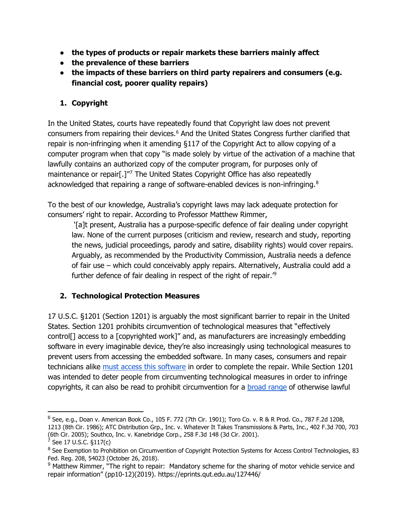- **the types of products or repair markets these barriers mainly affect**
- **the prevalence of these barriers**
- **the impacts of these barriers on third party repairers and consumers (e.g. financial cost, poorer quality repairs)**

### **1. Copyright**

In the United States, courts have repeatedly found that Copyright law does not prevent consumers from repairing their devices.<sup>[6](#page-21-0)</sup> And the United States Congress further clarified that repair is non-infringing when it amending §117 of the Copyright Act to allow copying of a computer program when that copy "is made solely by virtue of the activation of a machine that lawfully contains an authorized copy of the computer program, for purposes only of maintenance or repair[.]"[7](#page-21-1) The United States Copyright Office has also repeatedly acknowledged that repairing a range of software-enabled devices is non-infringing. $8$ 

To the best of our knowledge, Australia's copyright laws may lack adequate protection for consumers' right to repair. According to Professor Matthew Rimmer,

'[a]t present, Australia has a purpose-specific defence of fair dealing under copyright law. None of the current purposes (criticism and review, research and study, reporting the news, judicial proceedings, parody and satire, disability rights) would cover repairs. Arguably, as recommended by the Productivity Commission, Australia needs a defence of fair use – which could conceivably apply repairs. Alternatively, Australia could add a further defence of fair dealing in respect of the right of repair.['9](#page-21-3)

### **2. Technological Protection Measures**

17 U.S.C. §1201 (Section 1201) is arguably the most significant barrier to repair in the United States. Section 1201 prohibits circumvention of technological measures that "effectively control[] access to a [copyrighted work]" and, as manufacturers are increasingly embedding software in every imaginable device, they're also increasingly using technological measures to prevent users from accessing the embedded software. In many cases, consumers and repair technicians alike must access this software in order to complete the repair. While Section 1201 was intended to deter people from circumventing technological measures in order to infringe copyrights, it can also be read to prohibit circumvention for a broad range of otherwise lawful

<span id="page-21-0"></span> $6$  See, e.g., Doan v. American Book Co., 105 F. 772 (7th Cir. 1901); Toro Co. v. R & R Prod. Co., 787 F.2d 1208, 1213 (8th Cir. 1986); ATC Distribution Grp., Inc. v. Whatever It Takes Transmissions & Parts, Inc., 402 F.3d 700, 703 (6th Cir. 2005); Southco, Inc. v. Kanebridge Corp., 258 F.3d 148 (3d Cir. 2001).

<span id="page-21-1"></span> $7$  See 17 U.S.C. §117(c)

<span id="page-21-2"></span><sup>&</sup>lt;sup>8</sup> See Exemption to Prohibition on Circumvention of Copyright Protection Systems for Access Control Technologies, 83 Fed. Reg. 208, 54023 (October 26, 2018).

<span id="page-21-3"></span><sup>&</sup>lt;sup>9</sup> Matthew Rimmer, "The right to repair: Mandatory scheme for the sharing of motor vehicle service and repair information" (pp10-12)(2019). https://eprints.qut.edu.au/127446/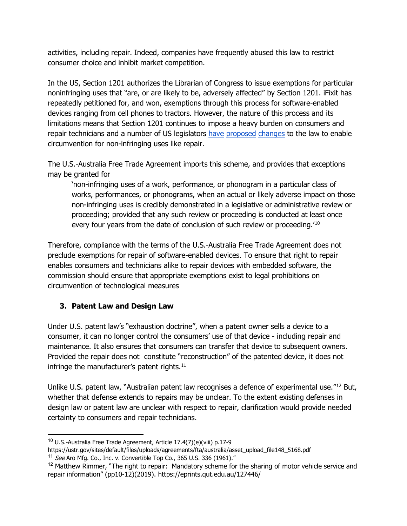activities, including repair. Indeed, companies have frequently abused this law to restrict consumer choice and inhibit market competition.

In the US, Section 1201 authorizes the Librarian of Congress to issue exemptions for particular noninfringing uses that "are, or are likely to be, adversely affected" by Section 1201. iFixit has repeatedly petitioned for, and won, exemptions through this process for software-enabled devices ranging from cell phones to tractors. However, the nature of this process and its limitations means that Section 1201 continues to impose a heavy burden on consumers and repair technicians and a number of US legislators have proposed changes to the law to enable circumvention for non-infringing uses like repair.

The U.S.-Australia Free Trade Agreement imports this scheme, and provides that exceptions may be granted for

'non-infringing uses of a work, performance, or phonogram in a particular class of works, performances, or phonograms, when an actual or likely adverse impact on those non-infringing uses is credibly demonstrated in a legislative or administrative review or proceeding; provided that any such review or proceeding is conducted at least once every four years from the date of conclusion of such review or proceeding.'[10](#page-22-0)

Therefore, compliance with the terms of the U.S.-Australia Free Trade Agreement does not preclude exemptions for repair of software-enabled devices. To ensure that right to repair enables consumers and technicians alike to repair devices with embedded software, the commission should ensure that appropriate exemptions exist to legal prohibitions on circumvention of technological measures

# **3. Patent Law and Design Law**

Under U.S. patent law's "exhaustion doctrine", when a patent owner sells a device to a consumer, it can no longer control the consumers' use of that device - including repair and maintenance. It also ensures that consumers can transfer that device to subsequent owners. Provided the repair does not constitute "reconstruction" of the patented device, it does not infringe the manufacturer's patent rights. $11$ 

Unlike U.S. patent law, "Australian patent law recognises a defence of experimental use."<sup>[12](#page-22-2)</sup> But, whether that defense extends to repairs may be unclear. To the extent existing defenses in design law or patent law are unclear with respect to repair, clarification would provide needed certainty to consumers and repair technicians.

<span id="page-22-0"></span><sup>10</sup> U.S.-Australia Free Trade Agreement, Article 17.4(7)(e)(viii) p.17-9

<span id="page-22-1"></span>https://ustr.gov/sites/default/files/uploads/agreements/fta/australia/asset\_upload\_file148\_5168.pdf  $11$  See Aro Mfg. Co., Inc. v. Convertible Top Co., 365 U.S. 336 (1961)."

<span id="page-22-2"></span><sup>&</sup>lt;sup>12</sup> Matthew Rimmer, "The right to repair: Mandatory scheme for the sharing of motor vehicle service and repair information" (pp10-12)(2019). https://eprints.qut.edu.au/127446/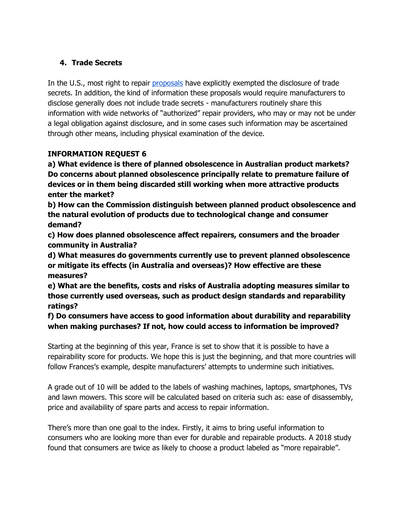# **4. Trade Secrets**

In the U.S., most right to repair proposals have explicitly exempted the disclosure of trade secrets. In addition, the kind of information these proposals would require manufacturers to disclose generally does not include trade secrets - manufacturers routinely share this information with wide networks of "authorized" repair providers, who may or may not be under a legal obligation against disclosure, and in some cases such information may be ascertained through other means, including physical examination of the device.

# **INFORMATION REQUEST 6**

**a) What evidence is there of planned obsolescence in Australian product markets? Do concerns about planned obsolescence principally relate to premature failure of devices or in them being discarded still working when more attractive products enter the market?**

**b) How can the Commission distinguish between planned product obsolescence and the natural evolution of products due to technological change and consumer demand?**

**c) How does planned obsolescence affect repairers, consumers and the broader community in Australia?**

**d) What measures do governments currently use to prevent planned obsolescence or mitigate its effects (in Australia and overseas)? How effective are these measures?**

**e) What are the benefits, costs and risks of Australia adopting measures similar to those currently used overseas, such as product design standards and reparability ratings?**

**f) Do consumers have access to good information about durability and reparability when making purchases? If not, how could access to information be improved?**

Starting at the beginning of this year, France is set to show that it is possible to have a repairability score for products. We hope this is just the beginning, and that more countries will follow Frances's example, despite manufacturers' attempts to undermine such initiatives.

A grade out of 10 will be added to the labels of washing machines, laptops, smartphones, TVs and lawn mowers. This score will be calculated based on criteria such as: ease of disassembly, price and availability of spare parts and access to repair information.

There's more than one goal to the index. Firstly, it aims to bring useful information to consumers who are looking more than ever for durable and repairable products. A 2018 study found that consumers are twice as likely to choose a product labeled as "more repairable".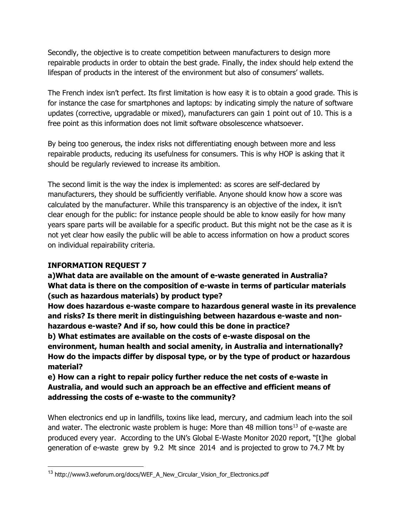Secondly, the objective is to create competition between manufacturers to design more repairable products in order to obtain the best grade. Finally, the index should help extend the lifespan of products in the interest of the environment but also of consumers' wallets.

The French index isn't perfect. Its first limitation is how easy it is to obtain a good grade. This is for instance the case for smartphones and laptops: by indicating simply the nature of software updates (corrective, upgradable or mixed), manufacturers can gain 1 point out of 10. This is a free point as this information does not limit software obsolescence whatsoever.

By being too generous, the index risks not differentiating enough between more and less repairable products, reducing its usefulness for consumers. This is why HOP is asking that it should be regularly reviewed to increase its ambition.

The second limit is the way the index is implemented: as scores are self-declared by manufacturers, they should be sufficiently verifiable. Anyone should know how a score was calculated by the manufacturer. While this transparency is an objective of the index, it isn't clear enough for the public: for instance people should be able to know easily for how many years spare parts will be available for a specific product. But this might not be the case as it is not yet clear how easily the public will be able to access information on how a product scores on individual repairability criteria.

# **INFORMATION REQUEST 7**

**a)What data are available on the amount of e-waste generated in Australia? What data is there on the composition of e-waste in terms of particular materials (such as hazardous materials) by product type?**

**How does hazardous e-waste compare to hazardous general waste in its prevalence and risks? Is there merit in distinguishing between hazardous e-waste and nonhazardous e-waste? And if so, how could this be done in practice?**

**b) What estimates are available on the costs of e-waste disposal on the environment, human health and social amenity, in Australia and internationally? How do the impacts differ by disposal type, or by the type of product or hazardous material?**

**e) How can a right to repair policy further reduce the net costs of e-waste in Australia, and would such an approach be an effective and efficient means of addressing the costs of e-waste to the community?**

When electronics end up in landfills, toxins like lead, mercury, and cadmium leach into the soil and water. The electronic waste problem is huge: More than 48 million tons<sup>[13](#page-24-0)</sup> of e-waste are produced every year. According to the UN's Global E-Waste Monitor 2020 report, "[t]he global generation of e-waste grew by 9.2 Mt since 2014 and is projected to grow to 74.7 Mt by

<span id="page-24-0"></span><sup>&</sup>lt;sup>13</sup> http://www3.weforum.org/docs/WEF\_A\_New\_Circular\_Vision\_for\_Electronics.pdf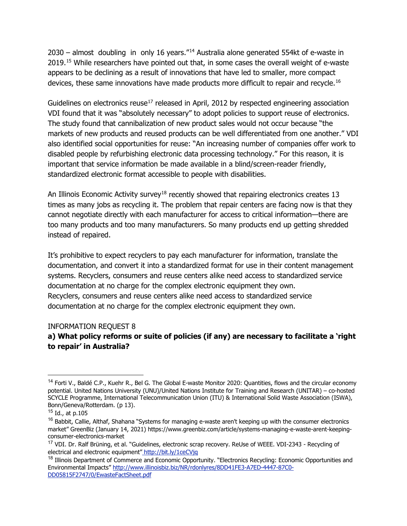2030 – almost doubling in only 16 years."[14](#page-25-0) Australia alone generated 554kt of e-waste in 2019.[15](#page-25-1) While researchers have pointed out that, in some cases the overall weight of e-waste appears to be declining as a result of innovations that have led to smaller, more compact devices, these same innovations have made products more difficult to repair and recycle.<sup>16</sup>

Guidelines on electronics reuse<sup>[17](#page-25-3)</sup> released in April, 2012 by respected engineering association VDI found that it was "absolutely necessary" to adopt policies to support reuse of electronics. The study found that cannibalization of new product sales would not occur because "the markets of new products and reused products can be well differentiated from one another." VDI also identified social opportunities for reuse: "An increasing number of companies offer work to disabled people by refurbishing electronic data processing technology." For this reason, it is important that service information be made available in a blind/screen-reader friendly, standardized electronic format accessible to people with disabilities.

An Illinois Economic Activity survey<sup>[18](#page-25-4)</sup> recently showed that repairing electronics creates 13 times as many jobs as recycling it. The problem that repair centers are facing now is that they cannot negotiate directly with each manufacturer for access to critical information—there are too many products and too many manufacturers. So many products end up getting shredded instead of repaired.

It's prohibitive to expect recyclers to pay each manufacturer for information, translate the documentation, and convert it into a standardized format for use in their content management systems. Recyclers, consumers and reuse centers alike need access to standardized service documentation at no charge for the complex electronic equipment they own. Recyclers, consumers and reuse centers alike need access to standardized service documentation at no charge for the complex electronic equipment they own.

#### INFORMATION REQUEST 8

### **a) What policy reforms or suite of policies (if any) are necessary to facilitate a 'right to repair' in Australia?**

<span id="page-25-0"></span> $14$  Forti V., Baldé C.P., Kuehr R., Bel G. The Global E-waste Monitor 2020: Quantities, flows and the circular economy potential. United Nations University (UNU)/United Nations Institute for Training and Research (UNITAR) – co-hosted SCYCLE Programme, International Telecommunication Union (ITU) & International Solid Waste Association (ISWA), Bonn/Geneva/Rotterdam. (p 13).

<span id="page-25-1"></span> $15$  Id., at p.105

<span id="page-25-2"></span> $16$  Babbit, Callie, Althaf, Shahana "Systems for managing e-waste aren't keeping up with the consumer electronics market" GreenBiz (January 14, 2021) https://www.greenbiz.com/article/systems-managing-e-waste-arent-keepingconsumer-electronics-market

<span id="page-25-3"></span><sup>&</sup>lt;sup>17</sup> VDI. Dr. Ralf Brüning, et al. "Guidelines, electronic scrap recovery. ReUse of WEEE. VDI-2343 - Recycling of electrical and electronic equipment" http://bit.ly/1ceCVjq

<span id="page-25-4"></span><sup>&</sup>lt;sup>18</sup> Illinois Department of Commerce and Economic Opportunity. "Electronics Recycling: Economic Opportunities and Environmental Impacts" http://www.illinoisbiz.biz/NR/rdonlyres/8DD41FE3-A7ED-4447-87C0- DD05815F2747/0/EwasteFactSheet.pdf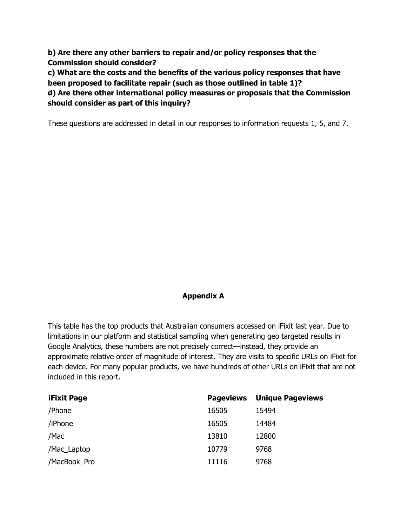**b) Are there any other barriers to repair and/or policy responses that the Commission should consider?**

**c) What are the costs and the benefits of the various policy responses that have been proposed to facilitate repair (such as those outlined in table 1)?**

**d) Are there other international policy measures or proposals that the Commission should consider as part of this inquiry?**

These questions are addressed in detail in our responses to information requests 1, 5, and 7.

# **Appendix A**

This table has the top products that Australian consumers accessed on iFixit last year. Due to limitations in our platform and statistical sampling when generating geo targeted results in Google Analytics, these numbers are not precisely correct—instead, they provide an approximate relative order of magnitude of interest. They are visits to specific URLs on iFixit for each device. For many popular products, we have hundreds of other URLs on iFixit that are not included in this report.

| <b>iFixit Page</b> | <b>Pageviews</b> | <b>Unique Pageviews</b> |
|--------------------|------------------|-------------------------|
| /Phone             | 16505            | 15494                   |
| /iPhone            | 16505            | 14484                   |
| /Mac               | 13810            | 12800                   |
| /Mac_Laptop        | 10779            | 9768                    |
| /MacBook Pro       | 11116            | 9768                    |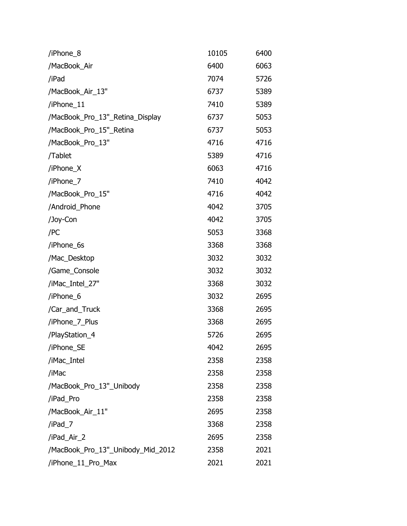| /iPhone_8                         | 10105 | 6400 |
|-----------------------------------|-------|------|
| /MacBook_Air                      | 6400  | 6063 |
| /iPad                             | 7074  | 5726 |
| /MacBook_Air_13"                  | 6737  | 5389 |
| /iPhone_11                        | 7410  | 5389 |
| /MacBook_Pro_13"_Retina_Display   | 6737  | 5053 |
| /MacBook_Pro_15"_Retina           | 6737  | 5053 |
| /MacBook_Pro_13"                  | 4716  | 4716 |
| /Tablet                           | 5389  | 4716 |
| /iPhone_X                         | 6063  | 4716 |
| /iPhone_7                         | 7410  | 4042 |
| /MacBook_Pro_15"                  | 4716  | 4042 |
| /Android_Phone                    | 4042  | 3705 |
| /Joy-Con                          | 4042  | 3705 |
| /PC                               | 5053  | 3368 |
| /iPhone_6s                        | 3368  | 3368 |
| /Mac_Desktop                      | 3032  | 3032 |
| /Game_Console                     | 3032  | 3032 |
| /iMac_Intel_27"                   | 3368  | 3032 |
| /iPhone_6                         | 3032  | 2695 |
| /Car_and_Truck                    | 3368  | 2695 |
| /iPhone_7_Plus                    | 3368  | 2695 |
| /PlayStation_4                    | 5726  | 2695 |
| /iPhone_SE                        | 4042  | 2695 |
| /iMac_Intel                       | 2358  | 2358 |
| /iMac                             | 2358  | 2358 |
| /MacBook_Pro_13"_Unibody          | 2358  | 2358 |
| /iPad_Pro                         | 2358  | 2358 |
| /MacBook_Air_11"                  | 2695  | 2358 |
| /iPad_7                           | 3368  | 2358 |
| /iPad_Air_2                       | 2695  | 2358 |
| /MacBook_Pro_13"_Unibody_Mid_2012 | 2358  | 2021 |
| /iPhone_11_Pro_Max                | 2021  | 2021 |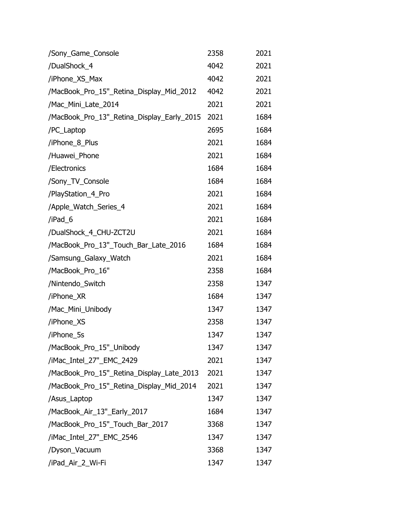| /Sony_Game_Console                         | 2358 | 2021 |
|--------------------------------------------|------|------|
| /DualShock_4                               | 4042 | 2021 |
| /iPhone_XS_Max                             | 4042 | 2021 |
| /MacBook_Pro_15"_Retina_Display_Mid_2012   | 4042 | 2021 |
| /Mac_Mini_Late_2014                        | 2021 | 2021 |
| /MacBook_Pro_13"_Retina_Display_Early_2015 | 2021 | 1684 |
| /PC_Laptop                                 | 2695 | 1684 |
| /iPhone_8_Plus                             | 2021 | 1684 |
| /Huawei_Phone                              | 2021 | 1684 |
| /Electronics                               | 1684 | 1684 |
| /Sony_TV_Console                           | 1684 | 1684 |
| /PlayStation_4_Pro                         | 2021 | 1684 |
| /Apple_Watch_Series_4                      | 2021 | 1684 |
| /iPad_6                                    | 2021 | 1684 |
| /DualShock_4_CHU-ZCT2U                     | 2021 | 1684 |
| /MacBook_Pro_13"_Touch_Bar_Late_2016       | 1684 | 1684 |
| /Samsung_Galaxy_Watch                      | 2021 | 1684 |
| /MacBook_Pro_16"                           | 2358 | 1684 |
| /Nintendo_Switch                           | 2358 | 1347 |
| /iPhone_XR                                 | 1684 | 1347 |
| /Mac_Mini_Unibody                          | 1347 | 1347 |
| /iPhone_XS                                 | 2358 | 1347 |
| /iPhone_5s                                 | 1347 | 1347 |
| /MacBook_Pro_15"_Unibody                   | 1347 | 1347 |
| /iMac_Intel_27"_EMC_2429                   | 2021 | 1347 |
| /MacBook_Pro_15"_Retina_Display_Late_2013  | 2021 | 1347 |
| /MacBook_Pro_15"_Retina_Display_Mid_2014   | 2021 | 1347 |
| /Asus_Laptop                               | 1347 | 1347 |
| /MacBook_Air_13"_Early_2017                | 1684 | 1347 |
| /MacBook_Pro_15"_Touch_Bar_2017            | 3368 | 1347 |
| /iMac_Intel_27"_EMC_2546                   | 1347 | 1347 |
| /Dyson_Vacuum                              | 3368 | 1347 |
| /iPad_Air_2_Wi-Fi                          | 1347 | 1347 |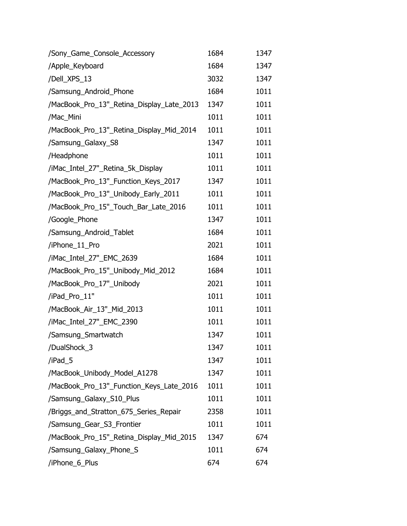| /Sony_Game_Console_Accessory              | 1684 | 1347 |
|-------------------------------------------|------|------|
| /Apple_Keyboard                           | 1684 | 1347 |
| /Dell_XPS_13                              | 3032 | 1347 |
| /Samsung_Android_Phone                    | 1684 | 1011 |
| /MacBook_Pro_13"_Retina_Display_Late_2013 | 1347 | 1011 |
| /Mac_Mini                                 | 1011 | 1011 |
| /MacBook_Pro_13"_Retina_Display_Mid_2014  | 1011 | 1011 |
| /Samsung_Galaxy_S8                        | 1347 | 1011 |
| /Headphone                                | 1011 | 1011 |
| /iMac_Intel_27"_Retina_5k_Display         | 1011 | 1011 |
| /MacBook_Pro_13"_Function_Keys_2017       | 1347 | 1011 |
| /MacBook_Pro_13"_Unibody_Early_2011       | 1011 | 1011 |
| /MacBook_Pro_15"_Touch_Bar_Late_2016      | 1011 | 1011 |
| /Google_Phone                             | 1347 | 1011 |
| /Samsung_Android_Tablet                   | 1684 | 1011 |
| /iPhone_11_Pro                            | 2021 | 1011 |
| /iMac_Intel_27"_EMC_2639                  | 1684 | 1011 |
| /MacBook_Pro_15"_Unibody_Mid_2012         | 1684 | 1011 |
| /MacBook_Pro_17"_Unibody                  | 2021 | 1011 |
| /iPad_Pro_11"                             | 1011 | 1011 |
| /MacBook_Air_13"_Mid_2013                 | 1011 | 1011 |
| /iMac_Intel_27"_EMC_2390                  | 1011 | 1011 |
| /Samsung_Smartwatch                       | 1347 | 1011 |
| /DualShock_3                              | 1347 | 1011 |
| /iPad 5                                   | 1347 | 1011 |
| /MacBook_Unibody_Model_A1278              | 1347 | 1011 |
| /MacBook_Pro_13"_Function_Keys_Late_2016  | 1011 | 1011 |
| /Samsung_Galaxy_S10_Plus                  | 1011 | 1011 |
| /Briggs_and_Stratton_675_Series_Repair    | 2358 | 1011 |
| /Samsung_Gear_S3_Frontier                 | 1011 | 1011 |
| /MacBook_Pro_15"_Retina_Display_Mid_2015  | 1347 | 674  |
| /Samsung_Galaxy_Phone_S                   | 1011 | 674  |
| /iPhone_6_Plus                            | 674  | 674  |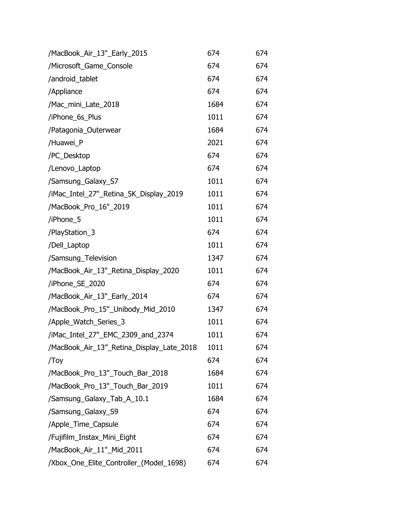| /MacBook_Air_13"_Early_2015               | 674  | 674 |
|-------------------------------------------|------|-----|
| /Microsoft_Game_Console                   | 674  | 674 |
| /android_tablet                           | 674  | 674 |
| /Appliance                                | 674  | 674 |
| /Mac_mini_Late_2018                       | 1684 | 674 |
| /iPhone_6s_Plus                           | 1011 | 674 |
| /Patagonia_Outerwear                      | 1684 | 674 |
| /Huawei_P                                 | 2021 | 674 |
| /PC_Desktop                               | 674  | 674 |
| /Lenovo_Laptop                            | 674  | 674 |
| /Samsung_Galaxy_S7                        | 1011 | 674 |
| /iMac_Intel_27"_Retina_5K_Display_2019    | 1011 | 674 |
| /MacBook_Pro_16"_2019                     | 1011 | 674 |
| /iPhone_5                                 | 1011 | 674 |
| /PlayStation_3                            | 674  | 674 |
| /Dell_Laptop                              | 1011 | 674 |
| /Samsung_Television                       | 1347 | 674 |
| /MacBook_Air_13"_Retina_Display_2020      | 1011 | 674 |
| /iPhone_SE_2020                           | 674  | 674 |
| /MacBook_Air_13"_Early_2014               | 674  | 674 |
| /MacBook_Pro_15"_Unibody_Mid_2010         | 1347 | 674 |
| /Apple_Watch_Series_3                     | 1011 | 674 |
| /iMac_Intel_27"_EMC_2309_and_2374         | 1011 | 674 |
| /MacBook_Air_13"_Retina_Display_Late_2018 | 1011 | 674 |
| /Toy                                      | 674  | 674 |
| /MacBook_Pro_13"_Touch_Bar_2018           | 1684 | 674 |
| /MacBook_Pro_13"_Touch_Bar_2019           | 1011 | 674 |
| /Samsung_Galaxy_Tab_A_10.1                | 1684 | 674 |
| /Samsung_Galaxy_S9                        | 674  | 674 |
| /Apple_Time_Capsule                       | 674  | 674 |
| /Fujifilm_Instax_Mini_Eight               | 674  | 674 |
| /MacBook_Air_11"_Mid_2011                 | 674  | 674 |
| /Xbox_One_Elite_Controller_(Model_1698)   | 674  | 674 |